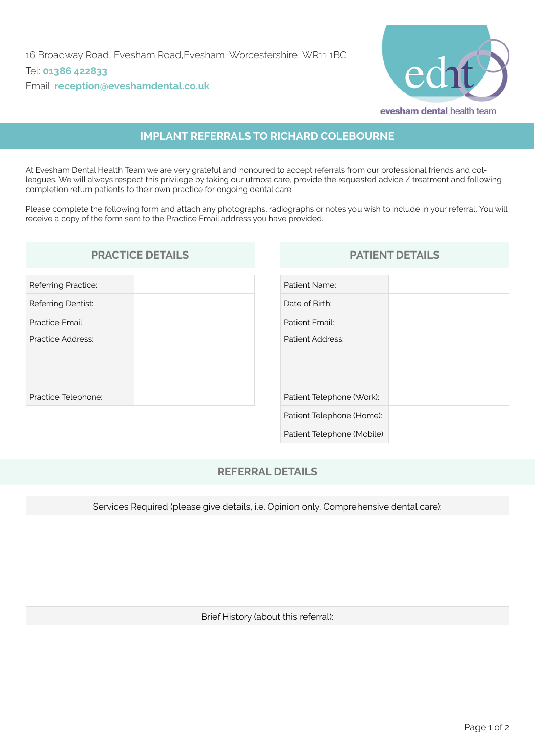

# **IMPLANT REFERRALS TO RICHARD COLEBOURNE**

At Evesham Dental Health Team we are very grateful and honoured to accept referrals from our professional friends and colleagues. We will always respect this privilege by taking our utmost care, provide the requested advice / treatment and following completion return patients to their own practice for ongoing dental care.

Please complete the following form and attach any photographs, radiographs or notes you wish to include in your referral. You will receive a copy of the form sent to the Practice Email address you have provided.

### **PRACTICE DETAILS PATIENT DETAILS**

| Referring Practice: |  |
|---------------------|--|
| Referring Dentist:  |  |
| Practice Email:     |  |
| Practice Address:   |  |
| Practice Telephone: |  |

| Patient Name:               |  |
|-----------------------------|--|
| Date of Birth:              |  |
| Patient Email:              |  |
| Patient Address:            |  |
| Patient Telephone (Work):   |  |
| Patient Telephone (Home):   |  |
| Patient Telephone (Mobile): |  |

### **REFERRAL DETAILS**

Services Required (please give details, i.e. Opinion only, Comprehensive dental care):

Brief History (about this referral):